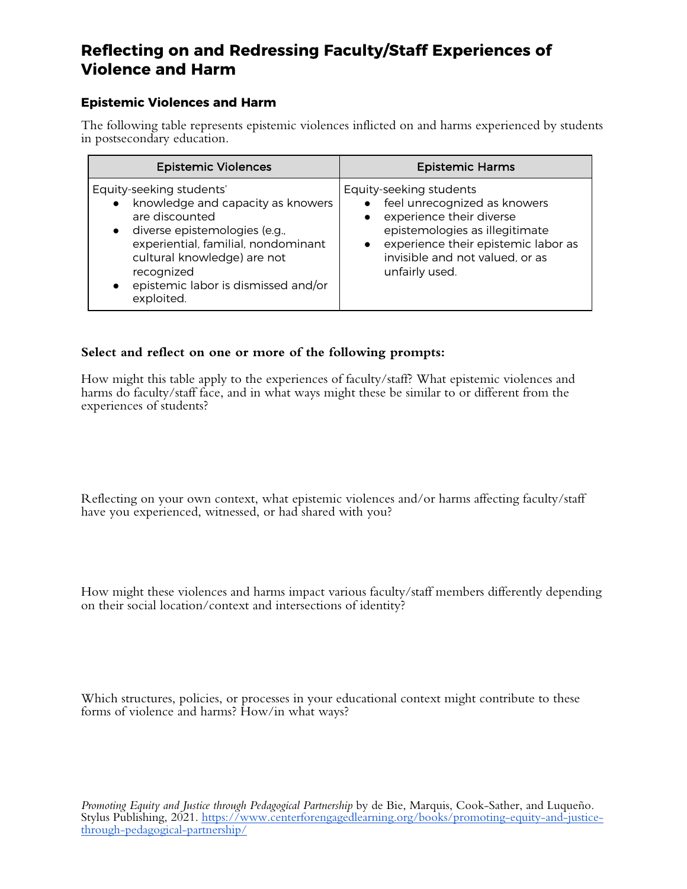### **Epistemic Violences and Harm**

The following table represents epistemic violences inflicted on and harms experienced by students in postsecondary education.

| <b>Epistemic Violences</b>                                                                                                                                                                                                                                             | <b>Epistemic Harms</b>                                                                                                                                                                                                                      |
|------------------------------------------------------------------------------------------------------------------------------------------------------------------------------------------------------------------------------------------------------------------------|---------------------------------------------------------------------------------------------------------------------------------------------------------------------------------------------------------------------------------------------|
| Equity-seeking students'<br>knowledge and capacity as knowers<br>are discounted<br>diverse epistemologies (e.g.,<br>$\bullet$<br>experiential, familial, nondominant<br>cultural knowledge) are not<br>recognized<br>epistemic labor is dismissed and/or<br>exploited. | Equity-seeking students<br>feel unrecognized as knowers<br>experience their diverse<br>$\bullet$<br>epistemologies as illegitimate<br>experience their epistemic labor as<br>$\bullet$<br>invisible and not valued, or as<br>unfairly used. |

#### **Select and reflect on one or more of the following prompts:**

How might this table apply to the experiences of faculty/staff? What epistemic violences and harms do faculty/staff face, and in what ways might these be similar to or different from the experiences of students?

Reflecting on your own context, what epistemic violences and/or harms affecting faculty/staff have you experienced, witnessed, or had shared with you?

How might these violences and harms impact various faculty/staff members differently depending on their social location/context and intersections of identity?

Which structures, policies, or processes in your educational context might contribute to these forms of violence and harms? How/in what ways?

*Promoting Equity and Justice through Pedagogical Partnership* by de Bie, Marquis, Cook-Sather, and Luqueño. Stylus Publishing, 2021. https://www.centerforengagedlearning.org/books/promoting-equity-and-justicethrough-pedagogical-partnership/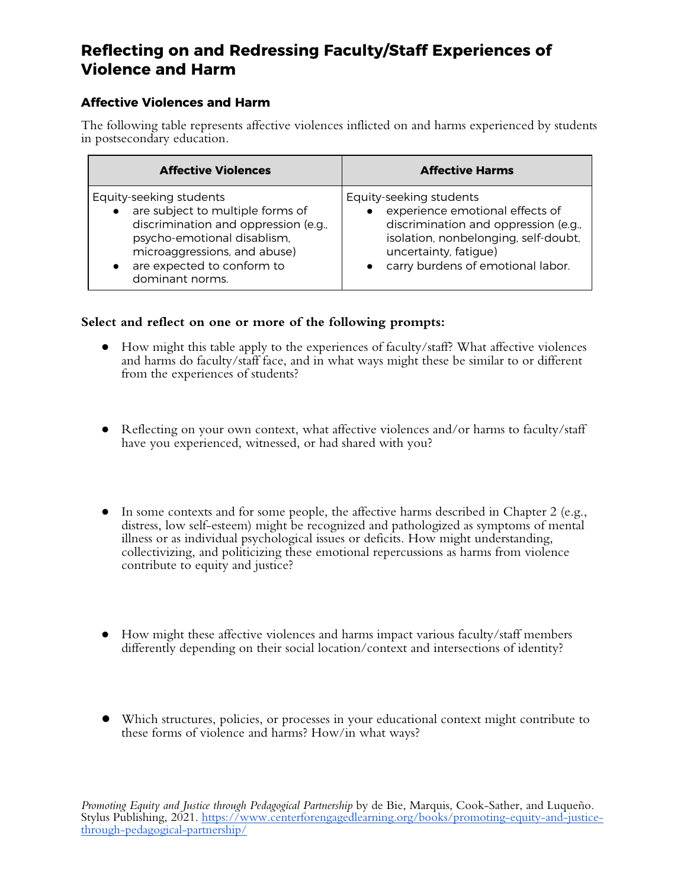### **Affective Violences and Harm**

The following table represents affective violences inflicted on and harms experienced by students in postsecondary education.

| <b>Affective Violences</b>                                                                                                                                                                                          | <b>Affective Harms</b>                                                                                                                                                                                   |
|---------------------------------------------------------------------------------------------------------------------------------------------------------------------------------------------------------------------|----------------------------------------------------------------------------------------------------------------------------------------------------------------------------------------------------------|
| Equity-seeking students<br>are subject to multiple forms of<br>discrimination and oppression (e.g.,<br>psycho-emotional disablism,<br>microaggressions, and abuse)<br>are expected to conform to<br>dominant norms. | Equity-seeking students<br>experience emotional effects of<br>discrimination and oppression (e.g.,<br>isolation, nonbelonging, self-doubt,<br>uncertainty, fatigue)<br>carry burdens of emotional labor. |

#### **Select and reflect on one or more of the following prompts:**

- How might this table apply to the experiences of faculty/staff? What affective violences and harms do faculty/staff face, and in what ways might these be similar to or different from the experiences of students?
- Reflecting on your own context, what affective violences and/or harms to faculty/staff have you experienced, witnessed, or had shared with you?
- In some contexts and for some people, the affective harms described in Chapter 2 (e.g., distress, low self-esteem) might be recognized and pathologized as symptoms of mental illness or as individual psychological issues or deficits. How might understanding, collectivizing, and politicizing these emotional repercussions as harms from violence contribute to equity and justice?
- How might these affective violences and harms impact various faculty/staff members differently depending on their social location/context and intersections of identity?
- Which structures, policies, or processes in your educational context might contribute to these forms of violence and harms? How/in what ways?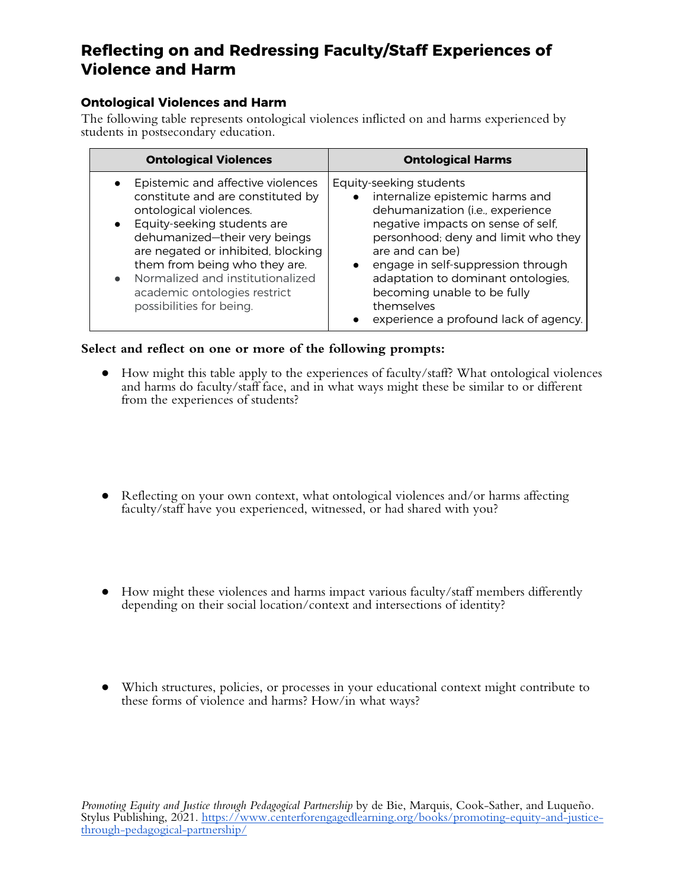### **Ontological Violences and Harm**

The following table represents ontological violences inflicted on and harms experienced by students in postsecondary education.

| <b>Ontological Violences</b>       | <b>Ontological Harms</b>              |
|------------------------------------|---------------------------------------|
| Epistemic and affective violences  | Equity-seeking students               |
| $\bullet$                          | internalize epistemic harms and       |
| constitute and are constituted by  | $\bullet$                             |
| ontological violences.             | dehumanization (i.e., experience      |
| Equity-seeking students are        | negative impacts on sense of self,    |
| $\bullet$                          | personhood; deny and limit who they   |
| dehumanized-their very beings      | are and can be)                       |
| are negated or inhibited, blocking | engage in self-suppression through    |
| them from being who they are.      | $\bullet$                             |
| Normalized and institutionalized   | adaptation to dominant ontologies,    |
| $\bullet$                          | becoming unable to be fully           |
| academic ontologies restrict       | themselves                            |
| possibilities for being.           | experience a profound lack of agency. |

#### **Select and reflect on one or more of the following prompts:**

- How might this table apply to the experiences of faculty/staff? What ontological violences and harms do faculty/staff face, and in what ways might these be similar to or different from the experiences of students?
- Reflecting on your own context, what ontological violences and/or harms affecting faculty/staff have you experienced, witnessed, or had shared with you?
- How might these violences and harms impact various faculty/staff members differently depending on their social location/context and intersections of identity?
- Which structures, policies, or processes in your educational context might contribute to these forms of violence and harms? How/in what ways?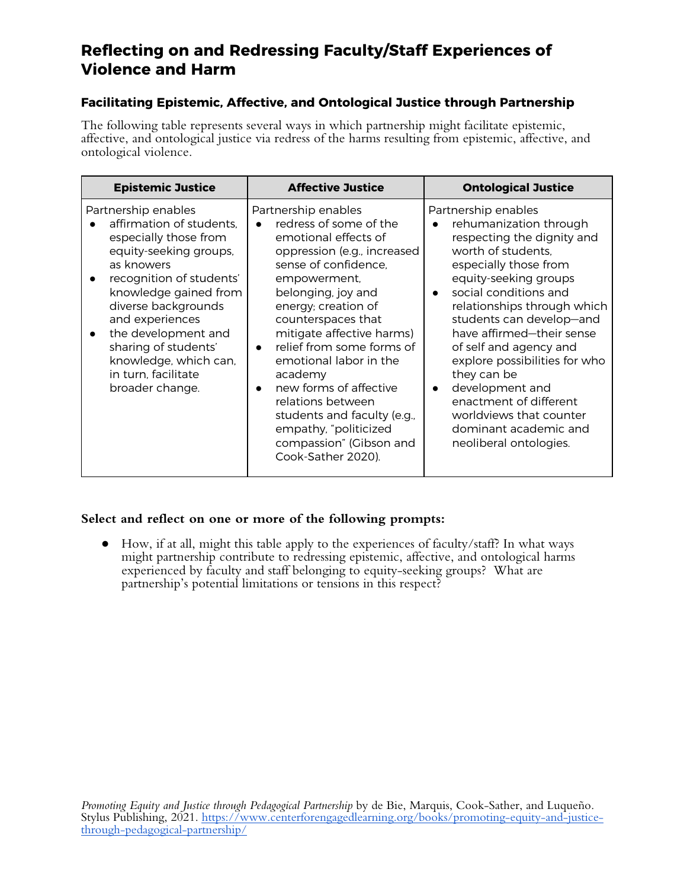### **Facilitating Epistemic, Affective, and Ontological Justice through Partnership**

The following table represents several ways in which partnership might facilitate epistemic, affective, and ontological justice via redress of the harms resulting from epistemic, affective, and ontological violence.

| <b>Epistemic Justice</b>                                                                                                                                                                                                                                                                                                                       | <b>Affective Justice</b>                                                                                                                                                                                                                                                                                                                                                                                                                                                            | <b>Ontological Justice</b>                                                                                                                                                                                                                                                                                                                                                                                                                                                                          |
|------------------------------------------------------------------------------------------------------------------------------------------------------------------------------------------------------------------------------------------------------------------------------------------------------------------------------------------------|-------------------------------------------------------------------------------------------------------------------------------------------------------------------------------------------------------------------------------------------------------------------------------------------------------------------------------------------------------------------------------------------------------------------------------------------------------------------------------------|-----------------------------------------------------------------------------------------------------------------------------------------------------------------------------------------------------------------------------------------------------------------------------------------------------------------------------------------------------------------------------------------------------------------------------------------------------------------------------------------------------|
| Partnership enables<br>affirmation of students.<br>especially those from<br>equity-seeking groups,<br>as knowers<br>recognition of students'<br>$\bullet$<br>knowledge gained from<br>diverse backgrounds<br>and experiences<br>the development and<br>sharing of students'<br>knowledge, which can,<br>in turn, facilitate<br>broader change. | Partnership enables<br>redress of some of the<br>emotional effects of<br>oppression (e.g., increased<br>sense of confidence,<br>empowerment,<br>belonging, joy and<br>energy; creation of<br>counterspaces that<br>mitigate affective harms)<br>relief from some forms of<br>$\bullet$<br>emotional labor in the<br>academy<br>new forms of affective<br>relations between<br>students and faculty (e.g.,<br>empathy, "politicized<br>compassion" (Gibson and<br>Cook-Sather 2020). | Partnership enables<br>rehumanization through<br>respecting the dignity and<br>worth of students.<br>especially those from<br>equity-seeking groups<br>social conditions and<br>$\bullet$<br>relationships through which<br>students can develop-and<br>have affirmed-their sense<br>of self and agency and<br>explore possibilities for who<br>they can be<br>development and<br>$\bullet$<br>enactment of different<br>worldviews that counter<br>dominant academic and<br>neoliberal ontologies. |

### **Select and reflect on one or more of the following prompts:**

● How, if at all, might this table apply to the experiences of faculty/staff? In what ways might partnership contribute to redressing epistemic, affective, and ontological harms experienced by faculty and staff belonging to equity-seeking groups? What are partnership's potential limitations or tensions in this respect?